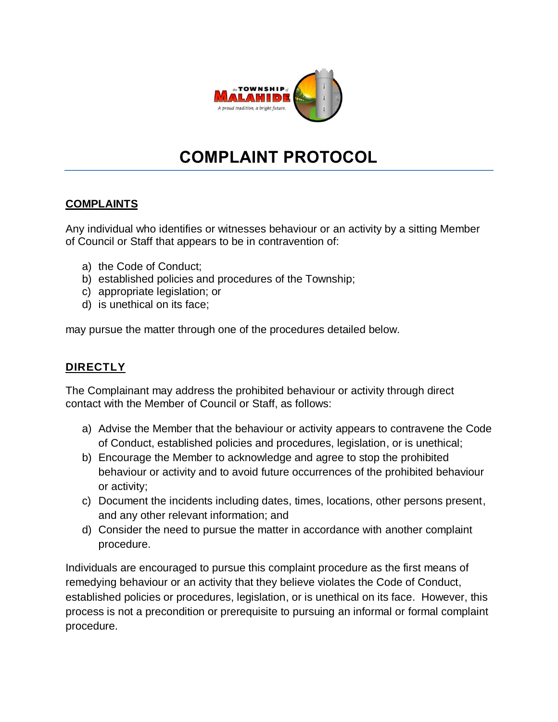

# **COMPLAINT PROTOCOL**

### **COMPLAINTS**

Any individual who identifies or witnesses behaviour or an activity by a sitting Member of Council or Staff that appears to be in contravention of:

- a) the Code of Conduct;
- b) established policies and procedures of the Township;
- c) appropriate legislation; or
- d) is unethical on its face;

may pursue the matter through one of the procedures detailed below.

## **DIRECTLY**

The Complainant may address the prohibited behaviour or activity through direct contact with the Member of Council or Staff, as follows:

- a) Advise the Member that the behaviour or activity appears to contravene the Code of Conduct, established policies and procedures, legislation, or is unethical;
- b) Encourage the Member to acknowledge and agree to stop the prohibited behaviour or activity and to avoid future occurrences of the prohibited behaviour or activity;
- c) Document the incidents including dates, times, locations, other persons present, and any other relevant information; and
- d) Consider the need to pursue the matter in accordance with another complaint procedure.

Individuals are encouraged to pursue this complaint procedure as the first means of remedying behaviour or an activity that they believe violates the Code of Conduct, established policies or procedures, legislation, or is unethical on its face. However, this process is not a precondition or prerequisite to pursuing an informal or formal complaint procedure.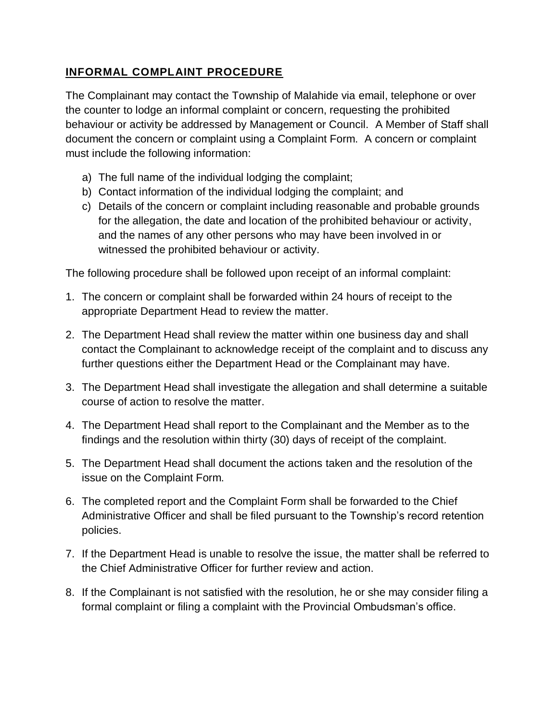## **INFORMAL COMPLAINT PROCEDURE**

The Complainant may contact the Township of Malahide via email, telephone or over the counter to lodge an informal complaint or concern, requesting the prohibited behaviour or activity be addressed by Management or Council. A Member of Staff shall document the concern or complaint using a Complaint Form. A concern or complaint must include the following information:

- a) The full name of the individual lodging the complaint;
- b) Contact information of the individual lodging the complaint; and
- c) Details of the concern or complaint including reasonable and probable grounds for the allegation, the date and location of the prohibited behaviour or activity, and the names of any other persons who may have been involved in or witnessed the prohibited behaviour or activity.

The following procedure shall be followed upon receipt of an informal complaint:

- 1. The concern or complaint shall be forwarded within 24 hours of receipt to the appropriate Department Head to review the matter.
- 2. The Department Head shall review the matter within one business day and shall contact the Complainant to acknowledge receipt of the complaint and to discuss any further questions either the Department Head or the Complainant may have.
- 3. The Department Head shall investigate the allegation and shall determine a suitable course of action to resolve the matter.
- 4. The Department Head shall report to the Complainant and the Member as to the findings and the resolution within thirty (30) days of receipt of the complaint.
- 5. The Department Head shall document the actions taken and the resolution of the issue on the Complaint Form.
- 6. The completed report and the Complaint Form shall be forwarded to the Chief Administrative Officer and shall be filed pursuant to the Township's record retention policies.
- 7. If the Department Head is unable to resolve the issue, the matter shall be referred to the Chief Administrative Officer for further review and action.
- 8. If the Complainant is not satisfied with the resolution, he or she may consider filing a formal complaint or filing a complaint with the Provincial Ombudsman's office.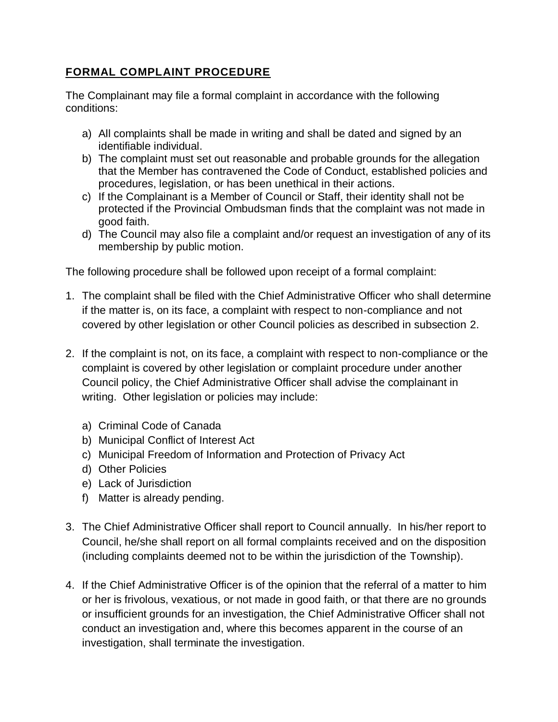#### **FORMAL COMPLAINT PROCEDURE**

The Complainant may file a formal complaint in accordance with the following conditions:

- a) All complaints shall be made in writing and shall be dated and signed by an identifiable individual.
- b) The complaint must set out reasonable and probable grounds for the allegation that the Member has contravened the Code of Conduct, established policies and procedures, legislation, or has been unethical in their actions.
- c) If the Complainant is a Member of Council or Staff, their identity shall not be protected if the Provincial Ombudsman finds that the complaint was not made in good faith.
- d) The Council may also file a complaint and/or request an investigation of any of its membership by public motion.

The following procedure shall be followed upon receipt of a formal complaint:

- 1. The complaint shall be filed with the Chief Administrative Officer who shall determine if the matter is, on its face, a complaint with respect to non-compliance and not covered by other legislation or other Council policies as described in subsection 2.
- 2. If the complaint is not, on its face, a complaint with respect to non-compliance or the complaint is covered by other legislation or complaint procedure under another Council policy, the Chief Administrative Officer shall advise the complainant in writing. Other legislation or policies may include:
	- a) Criminal Code of Canada
	- b) Municipal Conflict of Interest Act
	- c) Municipal Freedom of Information and Protection of Privacy Act
	- d) Other Policies
	- e) Lack of Jurisdiction
	- f) Matter is already pending.
- 3. The Chief Administrative Officer shall report to Council annually. In his/her report to Council, he/she shall report on all formal complaints received and on the disposition (including complaints deemed not to be within the jurisdiction of the Township).
- 4. If the Chief Administrative Officer is of the opinion that the referral of a matter to him or her is frivolous, vexatious, or not made in good faith, or that there are no grounds or insufficient grounds for an investigation, the Chief Administrative Officer shall not conduct an investigation and, where this becomes apparent in the course of an investigation, shall terminate the investigation.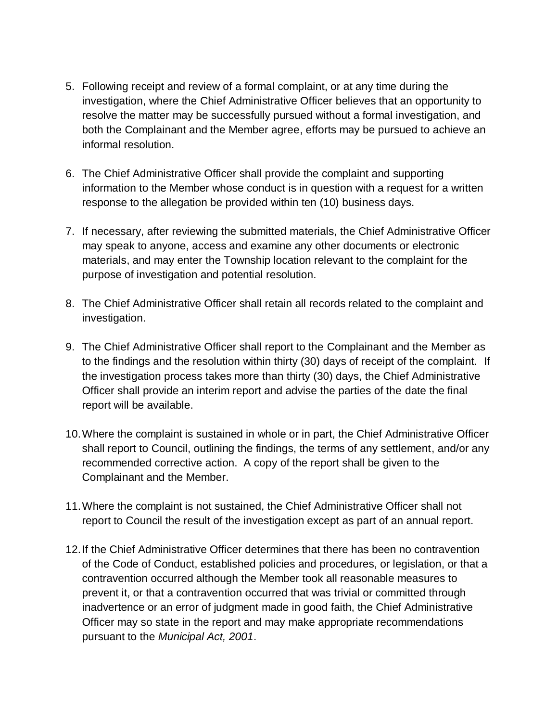- 5. Following receipt and review of a formal complaint, or at any time during the investigation, where the Chief Administrative Officer believes that an opportunity to resolve the matter may be successfully pursued without a formal investigation, and both the Complainant and the Member agree, efforts may be pursued to achieve an informal resolution.
- 6. The Chief Administrative Officer shall provide the complaint and supporting information to the Member whose conduct is in question with a request for a written response to the allegation be provided within ten (10) business days.
- 7. If necessary, after reviewing the submitted materials, the Chief Administrative Officer may speak to anyone, access and examine any other documents or electronic materials, and may enter the Township location relevant to the complaint for the purpose of investigation and potential resolution.
- 8. The Chief Administrative Officer shall retain all records related to the complaint and investigation.
- 9. The Chief Administrative Officer shall report to the Complainant and the Member as to the findings and the resolution within thirty (30) days of receipt of the complaint. If the investigation process takes more than thirty (30) days, the Chief Administrative Officer shall provide an interim report and advise the parties of the date the final report will be available.
- 10.Where the complaint is sustained in whole or in part, the Chief Administrative Officer shall report to Council, outlining the findings, the terms of any settlement, and/or any recommended corrective action. A copy of the report shall be given to the Complainant and the Member.
- 11.Where the complaint is not sustained, the Chief Administrative Officer shall not report to Council the result of the investigation except as part of an annual report.
- 12.If the Chief Administrative Officer determines that there has been no contravention of the Code of Conduct, established policies and procedures, or legislation, or that a contravention occurred although the Member took all reasonable measures to prevent it, or that a contravention occurred that was trivial or committed through inadvertence or an error of judgment made in good faith, the Chief Administrative Officer may so state in the report and may make appropriate recommendations pursuant to the *Municipal Act, 2001*.